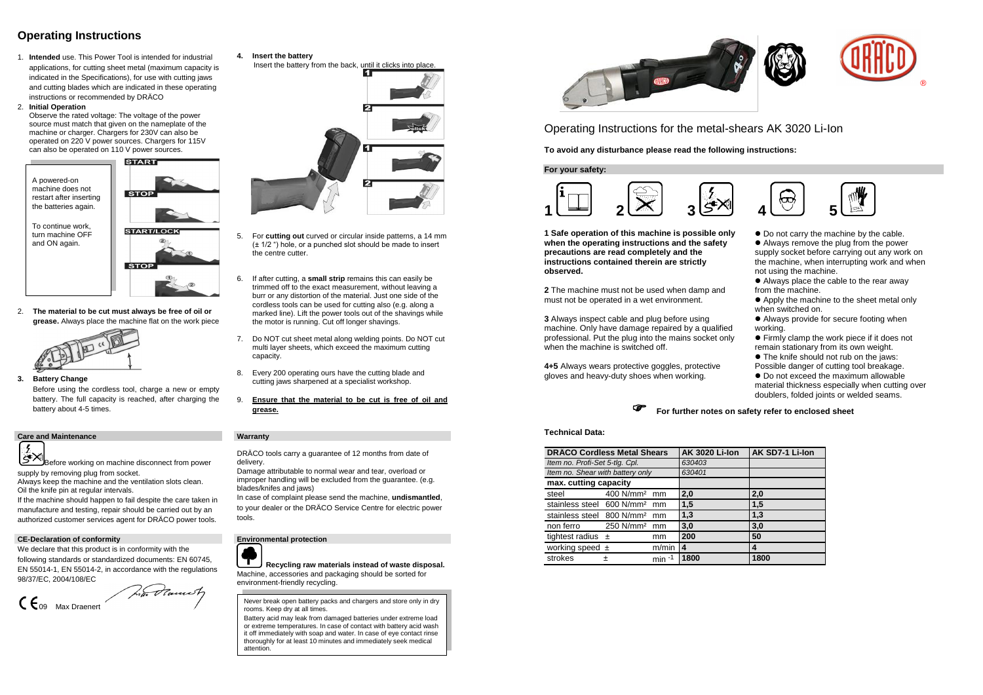# **Operating Instructions**

1. **Intended** use. This Power Tool is intended for industrial applications, for cutting sheet metal (maximum capacity is indicated in the Specifications), for use with cutting jaws and cutting blades which are indicated in these operating instructions or recommended by DRÄCO

### 2. **Initial Operation**

Observe the rated voltage: The voltage of the power source must match that given on the nameplate of the machine or charger. Chargers for 230V can also be operated on 220 V power sources. Chargers for 115V can also be operated on 110 V power sources.

2. **The material to be cut must always be free of oil or grease.** Always place the machine flat on the work piece



**3. Battery Change** 

Before using the cordless tool, charge a new or empty battery. The full capacity is reached, after charging the battery about 4-5 times.

### **Care and Maintenance Warranty**



- **4. Insert the battery**
- Insert the battery from the back, until it clicks into place.



- 5. For **cutting out** curved or circular inside patterns, a 14 mm (± 1/2 ") hole, or a punched slot should be made to insert the centre cutter.
- 6. If after cutting, a **small strip** remains this can easily be trimmed off to the exact measurement, without leaving a burr or any distortion of the material. Just one side of the cordless tools can be used for cutting also (e.g. along a marked line). Lift the power tools out of the shavings while the motor is running. Cut off longer shavings.
- 7. Do NOT cut sheet metal along welding points. Do NOT cut multi layer sheets, which exceed the maximum cutting capacity.
- 8. Every 200 operating ours have the cutting blade and cutting jaws sharpened at a specialist workshop.
- 9. **Ensure that the material to be cut is free of oil and grease.**

Before working on machine disconnect from power supply by removing plug from socket.

Always keep the machine and the ventilation slots clean. Oil the knife pin at regular intervals.

 $\bullet$  Do not carry the machine by the cable. Always remove the plug from the power supply socket before carrying out any work on the machine, when interrupting work and when not using the machine.

If the machine should happen to fail despite the care taken in manufacture and testing, repair should be carried out by an authorized customer services agent for DRÄCO power tools.

 $\bullet$  Do not exceed the maximum allowable material thickness especially when cutting over doublers, folded joints or welded seams.

DRÄCO tools carry a guarantee of 12 months from date of delivery.

Damage attributable to normal wear and tear, overload or improper handling will be excluded from the guarantee. (e.g. blades/knifes and jaws)

In case of complaint please send the machine, **undismantled**, to your dealer or the DRÄCO Service Centre for electric power tools.



### **CE-Declaration of conformity Environmental protection**

We declare that this product is in conformity with the following standards or standardized documents: EN 60745, EN 55014-1, EN 55014-2, in accordance with the regulations 98/37/EC, 2004/108/EC

CE09 Max Draenert

**Recycling raw materials instead of waste disposal.**  Machine, accessories and packaging should be sorted for environment-friendly recycling.





Operating Instructions for the metal-shears AK 3020 Li-Ion

**To avoid any disturbance please read the following instructions:**

**For your safety:**



**1 Safe operation of this machine is possible only when the operating instructions and the safety precautions are read completely and the instructions contained therein are strictly observed.**

**2** The machine must not be used when damp and must not be operated in a wet environment.

**3** Always inspect cable and plug before using machine. Only have damage repaired by a qualified professional. Put the plug into the mains socket only when the machine is switched off.

**4+5** Always wears protective goggles, protective gloves and heavy-duty shoes when working.



 Always place the cable to the rear away from the machine.

 Apply the machine to the sheet metal only when switched on.

 Always provide for secure footing when working.

 Firmly clamp the work piece if it does not remain stationary from its own weight.

● The knife should not rub on the jaws:

Possible danger of cutting tool breakage.

## **For further notes on safety refer to enclosed sheet**

### **Technical Data:**

| <b>DRÄCO Cordless Metal Shears</b>       |                          |          | <b>AK 3020 Li-lon</b> | AK SD7-1 Li-Ion |
|------------------------------------------|--------------------------|----------|-----------------------|-----------------|
| Item no. Profi-Set 5-tlg. Cpl.           |                          |          | 630403                |                 |
| Item no. Shear with battery only         |                          |          | 630401                |                 |
| max. cutting capacity                    |                          |          |                       |                 |
| steel                                    | 400 N/mm <sup>2</sup> mm |          | 2,0                   | 2,0             |
| stainless steel 600 N/mm <sup>2</sup> mm |                          |          | 1,5                   | 1,5             |
| stainless steel 800 N/mm <sup>2</sup> mm |                          |          | 1,3                   | 1,3             |
| non ferro 250 N/mm <sup>2</sup> mm       |                          |          | 3,0                   | 3,0             |
| tightest radius $\pm$                    |                          | mm       | 200                   | 50              |
| working speed $\pm$                      |                          | m/min    | 4                     | 4               |
| strokes                                  | 土                        | $min -1$ | 1800                  | 1800            |



Never break open battery packs and chargers and store only in dry rooms. Keep dry at all times.

Battery acid may leak from damaged batteries under extreme load or extreme temperatures. In case of contact with battery acid wash it off immediately with soap and water. In case of eye contact rinse thoroughly for at least 10 minutes and immediately seek medical attention.